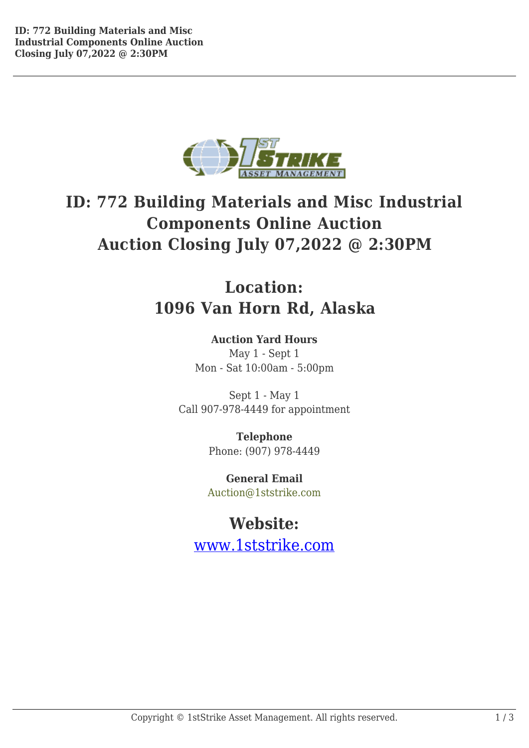

# **ID: 772 Building Materials and Misc Industrial Components Online Auction Auction Closing July 07,2022 @ 2:30PM**

## **Location: 1096 Van Horn Rd, Alaska**

## **Auction Yard Hours**

May 1 - Sept 1 Mon - Sat 10:00am - 5:00pm

Sept 1 - May 1 Call 907-978-4449 for appointment

> **Telephone** Phone: (907) 978-4449

**General Email** Auction@1ststrike.com

**Website:** www.1ststrike.com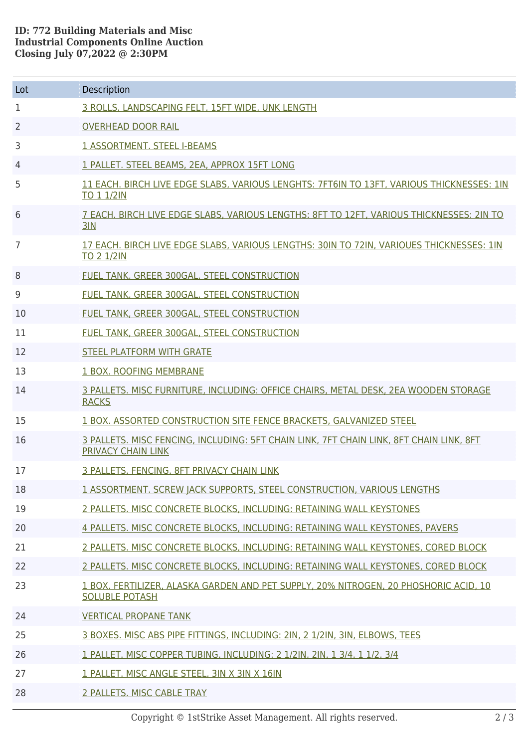### **ID: 772 Building Materials and Misc Industrial Components Online Auction Closing July 07,2022 @ 2:30PM**

| Lot | Description                                                                                                    |
|-----|----------------------------------------------------------------------------------------------------------------|
| 1   | 3 ROLLS, LANDSCAPING FELT, 15FT WIDE, UNK LENGTH                                                               |
| 2   | <b>OVERHEAD DOOR RAIL</b>                                                                                      |
| 3   | <b>1 ASSORTMENT. STEEL I-BEAMS</b>                                                                             |
| 4   | 1 PALLET. STEEL BEAMS, 2EA, APPROX 15FT LONG                                                                   |
| 5   | 11 EACH, BIRCH LIVE EDGE SLABS, VARIOUS LENGHTS: 7FT6IN TO 13FT, VARIOUS THICKNESSES: 1IN<br><b>TO 1 1/2IN</b> |
| 6   | 7 EACH. BIRCH LIVE EDGE SLABS, VARIOUS LENGTHS: 8FT TO 12FT, VARIOUS THICKNESSES: 2IN TO<br>3IN                |
| 7   | 17 EACH, BIRCH LIVE EDGE SLABS, VARIOUS LENGTHS: 30IN TO 72IN, VARIOUES THICKNESSES: 1IN<br><b>TO 2 1/2IN</b>  |
| 8   | FUEL TANK, GREER 300GAL, STEEL CONSTRUCTION                                                                    |
| 9   | FUEL TANK, GREER 300GAL, STEEL CONSTRUCTION                                                                    |
| 10  | FUEL TANK, GREER 300GAL, STEEL CONSTRUCTION                                                                    |
| 11  | FUEL TANK, GREER 300GAL, STEEL CONSTRUCTION                                                                    |
| 12  | <b>STEEL PLATFORM WITH GRATE</b>                                                                               |
| 13  | 1 BOX. ROOFING MEMBRANE                                                                                        |
| 14  | 3 PALLETS. MISC FURNITURE, INCLUDING: OFFICE CHAIRS, METAL DESK, 2EA WOODEN STORAGE<br><b>RACKS</b>            |
| 15  | 1 BOX. ASSORTED CONSTRUCTION SITE FENCE BRACKETS, GALVANIZED STEEL                                             |
| 16  | 3 PALLETS, MISC FENCING, INCLUDING: 5FT CHAIN LINK, 7FT CHAIN LINK, 8FT CHAIN LINK, 8FT<br>PRIVACY CHAIN LINK  |
| 17  | <b>3 PALLETS. FENCING, 8FT PRIVACY CHAIN LINK</b>                                                              |
| 18  | 1 ASSORTMENT. SCREW JACK SUPPORTS, STEEL CONSTRUCTION, VARIOUS LENGTHS                                         |
| 19  | 2 PALLETS. MISC CONCRETE BLOCKS, INCLUDING: RETAINING WALL KEYSTONES                                           |
| 20  | 4 PALLETS. MISC CONCRETE BLOCKS, INCLUDING: RETAINING WALL KEYSTONES, PAVERS                                   |
| 21  | 2 PALLETS. MISC CONCRETE BLOCKS, INCLUDING: RETAINING WALL KEYSTONES, CORED BLOCK                              |
| 22  | 2 PALLETS. MISC CONCRETE BLOCKS, INCLUDING: RETAINING WALL KEYSTONES, CORED BLOCK                              |
| 23  | 1 BOX. FERTILIZER, ALASKA GARDEN AND PET SUPPLY, 20% NITROGEN, 20 PHOSHORIC ACID, 10<br><b>SOLUBLE POTASH</b>  |
| 24  | <b>VERTICAL PROPANE TANK</b>                                                                                   |
| 25  | 3 BOXES, MISC ABS PIPE FITTINGS, INCLUDING: 2IN, 2 1/2IN, 3IN, ELBOWS, TEES                                    |
| 26  | 1 PALLET. MISC COPPER TUBING, INCLUDING: 2 1/2IN, 2IN, 1 3/4, 1 1/2, 3/4                                       |
| 27  | 1 PALLET. MISC ANGLE STEEL, 3IN X 3IN X 16IN                                                                   |
| 28  | 2 PALLETS. MISC CABLE TRAY                                                                                     |